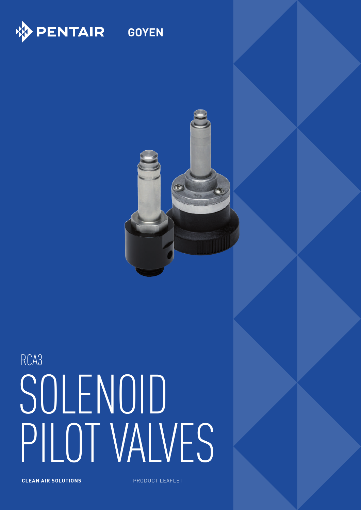

**GOYEN**



# RCA3 SOLENOID PILOT VALVES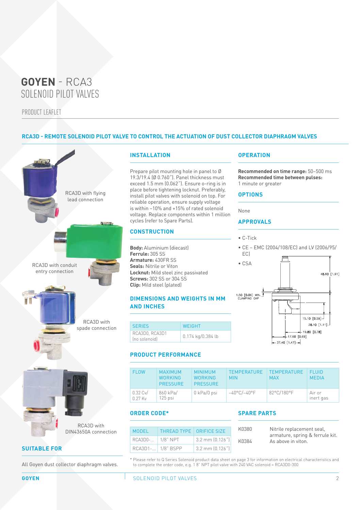PRODUCT LEAFLET

#### **RCA3D - REMOTE SOLENOID PILOT VALVE TO CONTROL THE ACTUATION OF DUST COLLECTOR DIAPHRAGM VALVES**



**SUITABLE FOR**

All Goyen dust collector diaphragm valves.

#### **INSTALLATION**

Prepare pilot mounting hole in panel to Ø 19.3/19.4 (Ø 0.760˝). Panel thickness must exceed 1.5 mm (0.062˝). Ensure o-ring is in place before tightening locknut. Preferably, install pilot valves with solenoid on top. For reliable operation, ensure supply voltage is within –10% and +15% of rated solenoid voltage. Replace components within 1 million cycles (refer to Spare Parts).

#### **CONSTRUCTION**

**Body:** Aluminium (diecast) **Ferrule:** 305 SS **Armature:** 430FR SS **Seals:** Nitrile or Viton **Locknut:** Mild steel zinc passivated **Screws:** 302 SS or 304 SS **Clip:** Mild steel (plated)

#### **DIMENSIONS AND WEIGHTS IN MM AND INCHES**

| <b>SERIES</b>                   | WFIGHT            |
|---------------------------------|-------------------|
| RCA3D0, RCA3D1<br>Ino solenoid) | 0.174 kg/0.384 lb |

#### **PRODUCT PERFORMANCE**

| FI OW                 | <b>MAXIMUM</b><br><b>WORKING</b><br><b>PRESSURE</b> | <b>MINIMUM</b><br><b>WORKING</b><br><b>PRESSURE</b> | <b>TEMPERATURE</b><br><b>MIN</b> | TEMPERATURE<br><b>MAX</b> | <b>FI UID</b><br><b>MEDIA</b> |
|-----------------------|-----------------------------------------------------|-----------------------------------------------------|----------------------------------|---------------------------|-------------------------------|
| $0.32$ Cv/<br>0 27 Kv | 860 kPa/<br>$125$ psi                               | 0 kPa/0 psi                                         | $-40^{\circ}$ C/ $-40^{\circ}$ F | 82°C/180°F                | Air or<br>inert gas           |

#### **ORDER CODE\***

| <b>MODEL</b>        | <b>THREAD TYPE   ORIFICE SIZE</b> |                     |
|---------------------|-----------------------------------|---------------------|
| $RCA3D0-.$          | $1/8$ " NPT                       | $3.2$ mm $[0.126"$  |
| RCA3D1-   1/8" BSPP |                                   | $3.2$ mm $(0.126")$ |

#### **SPARE PARTS**

| K0380 | Nitrile replacement seal,                             |
|-------|-------------------------------------------------------|
| K0384 | armature, spring & ferrule kit.<br>As above in viton. |

\* Please refer to Q Series Solenoid product data sheet on page 3 for information on electrical characteristics and to complete the order code, e.g. 1 8" NPT pilot valve with 240 VAC solenoid = RCA3D0-300

#### **OPERATION**

**Recommended on time range:** 50–500 ms **Recommended time between pulses:** 1 minute or greater

#### **OPTIONS**

None

#### **APPROVALS**

- C-Tick
- CE EMC (2004/108/EC) and LV (2006/95/ EC)



**GOYEN**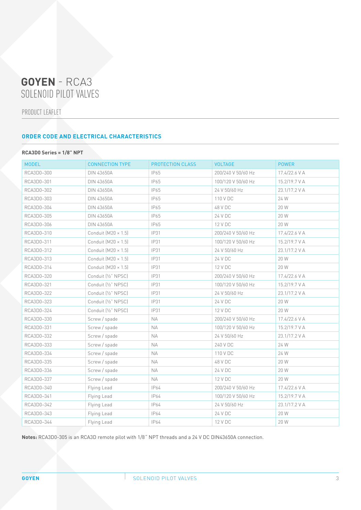PRODUCT LEAFLET

#### **ORDER CODE AND ELECTRICAL CHARACTERISTICS**

#### **RCA3D0 Series = 1/8" NPT**

| <b>MODEL</b> | <b>CONNECTION TYPE</b>     | PROTECTION CLASS | <b>VOLTAGE</b>     | POWER         |
|--------------|----------------------------|------------------|--------------------|---------------|
| RCA3D0-300   | <b>DIN 43650A</b>          | IP65             | 200/240 V 50/60 Hz | 17.4/22.6 V A |
| RCA3D0-301   | <b>DIN 43650A</b>          | IP65             | 100/120 V 50/60 Hz | 15.2/19.7 V A |
| RCA3D0-302   | <b>DIN 43650A</b>          | IP65             | 24 V 50/60 Hz      | 23.1/17.2 V A |
| RCA3D0-303   | <b>DIN 43650A</b>          | IP65             | 110 V DC           | 24 W          |
| RCA3D0-304   | <b>DIN 43650A</b>          | IP65             | 48 V DC            | 20 W          |
| RCA3D0-305   | DIN 43650A                 | IP65             | 24 V DC            | 20 W          |
| RCA3D0-306   | <b>DIN 43650A</b>          | IP65             | 12 V DC            | 20 W          |
| RCA3D0-310   | Conduit $[M20 \times 1.5]$ | IP31             | 200/240 V 50/60 Hz | 17.4/22.6 V A |
| RCA3D0-311   | Conduit $(M20 \times 1.5)$ | <b>IP31</b>      | 100/120 V 50/60 Hz | 15.2/19.7 V A |
| RCA3D0-312   | Conduit $(M20 \times 1.5)$ | <b>IP31</b>      | 24 V 50/60 Hz      | 23.1/17.2 V A |
| RCA3D0-313   | Conduit $[M20 \times 1.5]$ | IP31             | 24 V DC            | 20 W          |
| RCA3D0-314   | Conduit $(M20 \times 1.5)$ | IP31             | 12 V DC            | 20 W          |
| RCA3D0-320   | Conduit [1/2" NPSC]        | IP31             | 200/240 V 50/60 Hz | 17.4/22.6 V A |
| RCA3D0-321   | Conduit [1/2" NPSC]        | IP31             | 100/120 V 50/60 Hz | 15.2/19.7 V A |
| RCA3D0-322   | Conduit [1/2" NPSC]        | IP31             | 24 V 50/60 Hz      | 23.1/17.2 V A |
| RCA3D0-323   | Conduit [1/2" NPSC]        | IP31             | 24 V DC            | 20 W          |
| RCA3D0-324   | Conduit [1/2" NPSC]        | IP31             | 12 V DC            | 20 W          |
| RCA3D0-330   | Screw / spade              | <b>NA</b>        | 200/240 V 50/60 Hz | 17.4/22.6 V A |
| RCA3D0-331   | Screw / spade              | <b>NA</b>        | 100/120 V 50/60 Hz | 15.2/19.7 V A |
| RCA3D0-332   | Screw / spade              | NA               | 24 V 50/60 Hz      | 23.1/17.2 V A |
| RCA3D0-333   | Screw / spade              | <b>NA</b>        | 240 V DC           | 24 W          |
| RCA3D0-334   | Screw / spade              | <b>NA</b>        | 110 V DC           | 24 W          |
| RCA3D0-335   | Screw / spade              | <b>NA</b>        | 48 V DC            | 20 W          |
| RCA3D0-336   | Screw / spade              | <b>NA</b>        | 24 V DC            | 20 W          |
| RCA3D0-337   | Screw / spade              | <b>NA</b>        | 12 V DC            | 20 W          |
| RCA3D0-340   | Flying Lead                | <b>IP64</b>      | 200/240 V 50/60 Hz | 17.4/22.6 V A |
| RCA3D0-341   | Flying Lead                | IP64             | 100/120 V 50/60 Hz | 15.2/19.7 V A |
| RCA3D0-342   | Flying Lead                | IP64             | 24 V 50/60 Hz      | 23.1/17.2 V A |
| RCA3D0-343   | Flying Lead                | IP64             | 24 V DC            | 20 W          |
| RCA3D0-344   | Flying Lead                | IP64             | 12 V DC            | 20 W          |

**Notes:** RCA3D0-305 is an RCA3D remote pilot with 1/8˝ NPT threads and a 24 V DC DIN43650A connection.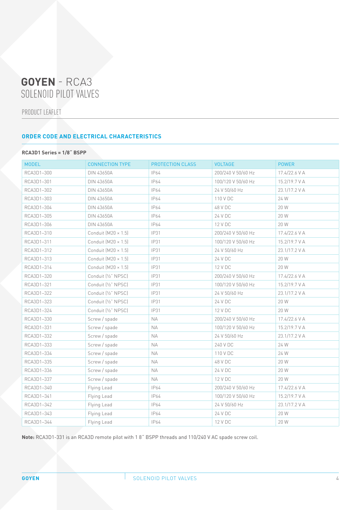PRODUCT LEAFLET

#### **ORDER CODE AND ELECTRICAL CHARACTERISTICS**

#### **RCA3D1 Series = 1/8˝ BSPP**

| <b>MODEL</b> | <b>CONNECTION TYPE</b>     | PROTECTION CLASS | <b>VOLTAGE</b>     | <b>POWER</b>  |
|--------------|----------------------------|------------------|--------------------|---------------|
| RCA3D1-300   | DIN 43650A                 | IP64             | 200/240 V 50/60 Hz | 17.4/22.6 V A |
| RCA3D1-301   | <b>DIN 43650A</b>          | IP64             | 100/120 V 50/60 Hz | 15.2/19.7 V A |
| RCA3D1-302   | <b>DIN 43650A</b>          | <b>IP64</b>      | 24 V 50/60 Hz      | 23.1/17.2 V A |
| RCA3D1-303   | DIN 43650A                 | <b>IP64</b>      | 110 V DC           | 24 W          |
| RCA3D1-304   | <b>DIN 43650A</b>          | IP64             | 48 V DC            | 20 W          |
| RCA3D1-305   | DIN 43650A                 | <b>IP64</b>      | 24 V DC            | 20 W          |
| RCA3D1-306   | <b>DIN 43650A</b>          | <b>IP64</b>      | 12 V DC            | 20 W          |
| RCA3D1-310   | Conduit $(M20 \times 1.5)$ | <b>IP31</b>      | 200/240 V 50/60 Hz | 17.4/22.6 V A |
| RCA3D1-311   | Conduit $(M20 \times 1.5)$ | <b>IP31</b>      | 100/120 V 50/60 Hz | 15.2/19.7 V A |
| RCA3D1-312   | Conduit $[M20 \times 1.5]$ | IP31             | 24 V 50/60 Hz      | 23.1/17.2 V A |
| RCA3D1-313   | Conduit $[M20 \times 1.5]$ | <b>IP31</b>      | 24 V DC            | 20 W          |
| RCA3D1-314   | Conduit $(M20 \times 1.5)$ | IP31             | 12 V DC            | 20 W          |
| RCA3D1-320   | Conduit [1/2" NPSC]        | <b>IP31</b>      | 200/240 V 50/60 Hz | 17.4/22.6 V A |
| RCA3D1-321   | Conduit [1/2" NPSC]        | <b>IP31</b>      | 100/120 V 50/60 Hz | 15.2/19.7 V A |
| RCA3D1-322   | Conduit [1/2" NPSC]        | <b>IP31</b>      | 24 V 50/60 Hz      | 23.1/17.2 V A |
| RCA3D1-323   | Conduit [1/2" NPSC]        | <b>IP31</b>      | 24 V DC            | 20 W          |
| RCA3D1-324   | Conduit [1/2" NPSC]        | IP31             | 12 V DC            | 20 W          |
| RCA3D1-330   | Screw / spade              | <b>NA</b>        | 200/240 V 50/60 Hz | 17.4/22.6 V A |
| RCA3D1-331   | Screw / spade              | <b>NA</b>        | 100/120 V 50/60 Hz | 15.2/19.7 V A |
| RCA3D1-332   | Screw / spade              | <b>NA</b>        | 24 V 50/60 Hz      | 23.1/17.2 V A |
| RCA3D1-333   | Screw / spade              | <b>NA</b>        | 240 V DC           | 24 W          |
| RCA3D1-334   | Screw / spade              | <b>NA</b>        | 110 V DC           | 24 W          |
| RCA3D1-335   | Screw / spade              | <b>NA</b>        | 48 V DC            | 20 W          |
| RCA3D1-336   | Screw / spade              | <b>NA</b>        | 24 V DC            | 20 W          |
| RCA3D1-337   | Screw / spade              | NA               | 12 V DC            | 20 W          |
| RCA3D1-340   | Flying Lead                | IP64             | 200/240 V 50/60 Hz | 17.4/22.6 V A |
| RCA3D1-341   | Flying Lead                | IP64             | 100/120 V 50/60 Hz | 15.2/19.7 V A |
| RCA3D1-342   | Flying Lead                | IP64             | 24 V 50/60 Hz      | 23.1/17.2 V A |
| RCA3D1-343   | Flying Lead                | IP64             | 24 V DC            | 20 W          |
| RCA3D1-344   | Flying Lead                | IP64             | 12 V DC            | 20 W          |

**Note:** RCA3D1-331 is an RCA3D remote pilot with 1 8˝ BSPP threads and 110/240 V AC spade screw coil.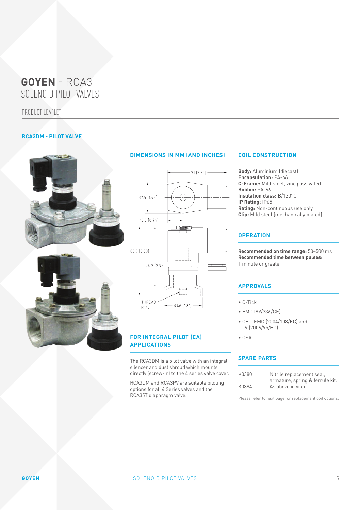PRODUCT LEAFLET

#### **RCA3DM - PILOT VALVE**





#### **DIMENSIONS IN MM (AND INCHES)**



#### **FOR INTEGRAL PILOT (CA) APPLICATIONS**

The RCA3DM is a pilot valve with an integral silencer and dust shroud which mounts directly (screw-in) to the 4 series valve cover.

RCA3DM and RCA3PV are suitable piloting options for all 4 Series valves and the RCA35T diaphragm valve.

#### **COIL CONSTRUCTION**

**Body:** Aluminium (diecast) **Encapsulation:** PA-66 **C-Frame:** Mild steel, zinc passivated **Bobbin:** PA-66 **Insulation class:** B/130°C **IP Rating:** IP65 **Rating:** Non-continuous use only **Clip:** Mild steel (mechanically plated)

#### **OPERATION**

**Recommended on time range:** 50–500 ms **Recommended time between pulses:** 1 minute or greater

#### **APPROVALS**

- C-Tick
- EMC (89/336/CE)
- CE EMC (2004/108/EC) and LV (2006/95/EC)
- CSA

#### **SPARE PARTS**

| K0380 |                                 |
|-------|---------------------------------|
|       | Nitrile replacement seal.       |
|       | armature, spring & ferrule kit. |
| K0384 | As above in viton.              |
|       |                                 |

Please refer to next page for replacement coil options.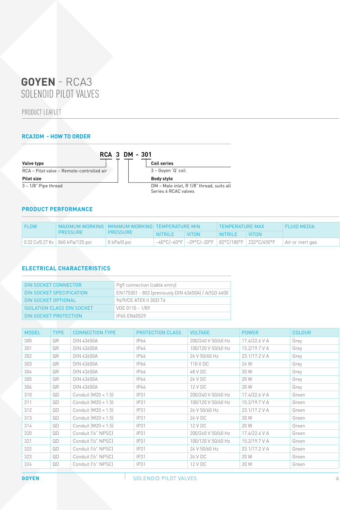PRODUCT LEAFLET

#### **RCA3DM - HOW TO ORDER**



#### **PRODUCT PERFORMANCE**

| MAXIMUM WORKING   MINIMUM WORKING   TEMPERATURE MIN<br>$\overline{F}$ FI OW |                                 |                     |          |              | <b>TEMPERATURE MAX</b> |          | <b>FI UID MEDIA</b>                                                         |
|-----------------------------------------------------------------------------|---------------------------------|---------------------|----------|--------------|------------------------|----------|-----------------------------------------------------------------------------|
|                                                                             | <b>PRESSURE</b>                 | <b>PRESSURE</b>     | NITRIL F | <b>VITON</b> | NITRILE                | I VITON. |                                                                             |
|                                                                             | 0.32 Cv/0.27 Kv 360 kPa/125 psi | $\vert$ 0 kPa/0 psi |          |              |                        |          | –40°C/–40°F   –29°C/–20°F   82°C/180°F   232°C/450°F       Air or inert gas |

#### **ELECTRICAL CHARACTERISTICS**

| DIN SOCKET CONNECTOR              | Pq9 connection (cable entry)                        |
|-----------------------------------|-----------------------------------------------------|
| DIN SOCKET SPECIFICATION          | EN175301 - 803 (previously DIN 43650A) / A/ISO 4400 |
| DIN SOCKET OPTIONAL               | 94/9/CE ATEX II 3GD T6                              |
| <b>ISOLATION CLASS DIN SOCKET</b> | VDE 0110 - 1/89                                     |
| DIN SOCKET PROTECTION             | <b>IP65 EN60529</b>                                 |

| <b>MODEL</b> | <b>TYPE</b> | <b>CONNECTION TYPE</b>     | <b>PROTECTION CLASS</b> | <b>VOLTAGE</b>     | <b>POWER</b>  | <b>COLOUR</b> |
|--------------|-------------|----------------------------|-------------------------|--------------------|---------------|---------------|
| 300          | QR          | <b>DIN 43650A</b>          | IP64                    | 200/240 V 50/60 Hz | 17.4/22.6 V A | Grey          |
| 301          | QR          | DIN 43650A                 | IP64                    | 100/120 V 50/60 Hz | 15.2/19.7 V A | Grey          |
| 302          | QR          | DIN 43650A                 | IP64                    | 24 V 50/60 Hz      | 23.1/17.2 V A | Grey          |
| 303          | QR          | <b>DIN 43650A</b>          | IP64                    | 110 V DC           | 24 W          | Grey          |
| 304          | QR          | DIN 43650A                 | IP64                    | 48 V DC            | 20 W          | Grey          |
| 305          | QR          | DIN 43650A                 | IP64                    | 24 V DC            | 20 W          | Grey          |
| 306          | QR          | <b>DIN 43650A</b>          | IP64                    | 12 V DC            | 20 W          | Grey          |
| 310          | QD          | Conduit $[M20 \times 1.5]$ | <b>IP31</b>             | 200/240 V 50/60 Hz | 17.4/22.6 V A | Green         |
| 311          | QD          | Conduit $[M20 \times 1.5]$ | IP31                    | 100/120 V 50/60 Hz | 15.2/19.7 V A | Green         |
| 312          | QD          | Conduit $[M20 \times 1.5]$ | IP31                    | 24 V 50/60 Hz      | 23.1/17.2 V A | Green         |
| 313          | QD          | Conduit $[M20 \times 1.5]$ | IP31                    | 24 V DC            | 20 W          | Green         |
| 314          | QD          | Conduit $[M20 \times 1.5]$ | IP31                    | 12 V DC            | 20 W          | Green         |
| 320          | QD          | Conduit [1/2" NPSC]        | IP31                    | 200/240 V 50/60 Hz | 17.4/22.6 V A | Green         |
| 321          | QD          | Conduit [1/2" NPSC]        | IP31                    | 100/120 V 50/60 Hz | 15.2/19.7 V A | Green         |
| 322          | QD          | Conduit [1/2" NPSC]        | IP31                    | 24 V 50/60 Hz      | 23.1/17.2 V A | Green         |
| 323          | QD          | Conduit [1/2" NPSC]        | IP31                    | 24 V DC            | 20 W          | Green         |
| 324          | QD          | Conduit [1/2" NPSC]        | IP31                    | 12 V DC            | 20 W          | Green         |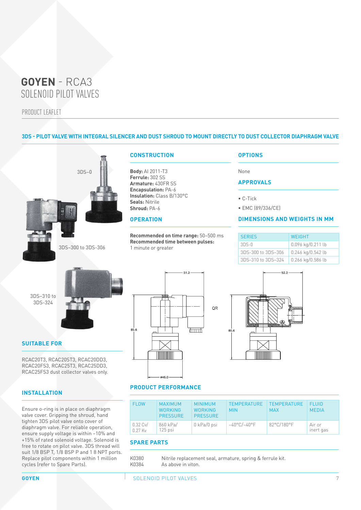PRODUCT LEAFLET

#### **3DS - PILOT VALVE WITH INTEGRAL SILENCER AND DUST SHROUD TO MOUNT DIRECTLY TO DUST COLLECTOR DIAPHRAGM VALVE**





3DS–300 to 3DS-306

#### **CONSTRUCTION**

**Body:** AI 2011-T3 **Ferrule:** 302 SS **Armature:** 430FR SS **Encapsulation:** PA-6 **Insulation:** Class B/130°C **Seals:** Nitrile **Shroud:** PA-6

#### **OPERATION**

**Recommended on time range:** 50–500 ms **Recommended time between pulses:** 1 minute or greater

51.2

#### **OPTIONS**

None

#### **APPROVALS**

• C-Tick

• EMC (89/336/CE)

#### **DIMENSIONS AND WEIGHTS IN MM**

| <b>SERIES</b>      | <b>WFIGHT</b>       |
|--------------------|---------------------|
| $3DS-0$            | 0.096 kg/0.211 lb   |
| 3DS-300 to 3DS-306 | 0.246 kg/0.542 lb   |
| 3DS-310 to 3DS-324 | $0.266$ kg/0.586 lb |

3DS–310 to 3DS-324

### **SUITABLE FOR**

RCAC20T3, RCAC20ST3, RCAC20DD3, RCAC20FS3, RCAC25T3, RCAC25DD3, RCAC25FS3 dust collector valves only.

#### **INSTALLATION**

Ensure o-ring is in place on diaphragm valve cover. Gripping the shroud, hand tighten 3DS pilot valve onto cover of diaphragm valve. For reliable operation, ensure supply voltage is within –10% and +15% of rated solenoid voltage. Solenoid is free to rotate on pilot valve. 3DS thread will suit 1/8 BSP T, 1/8 BSP P and 1 8 NPT ports. Replace pilot components within 1 million cycles (refer to Spare Parts).





#### **PRODUCT PERFORMANCE**

| <b>FLOW</b>             | <b>MAXIMUM</b><br><b>WORKING</b><br><b>PRESSURE</b> | <b>MINIMUM</b><br><b>WORKING</b><br><b>PRESSURE</b> | <b>TEMPERATURE</b><br><b>MIN</b> | <b>TEMPERATURE</b><br><b>MAX</b> | FI UID.<br><b>MEDIA</b> |
|-------------------------|-----------------------------------------------------|-----------------------------------------------------|----------------------------------|----------------------------------|-------------------------|
| $0.32$ Cv/<br>$0.27$ Ky | 860 kPa/<br>$125$ psi                               | 0 kPa/0 psi                                         | $-40^{\circ}$ C/ $-40^{\circ}$ F | 82°C/180°F                       | Air or<br>inert gas     |

#### **SPARE PARTS**

| K0380 | Nitrile replacement seal, armature, spring & ferrule kit. |
|-------|-----------------------------------------------------------|
| K0384 | As above in viton.                                        |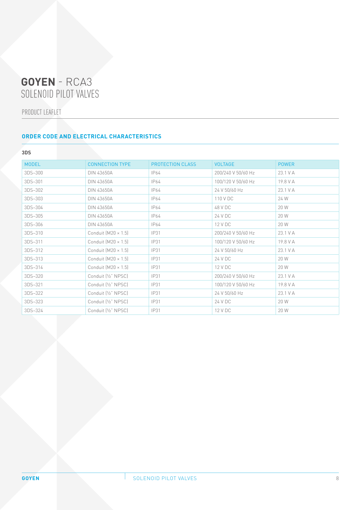PRODUCT LEAFLET

#### **ORDER CODE AND ELECTRICAL CHARACTERISTICS**

#### **3DS**

| <b>MODEL</b> | <b>CONNECTION TYPE</b>     | <b>PROTECTION CLASS</b> | <b>VOLTAGE</b>     | <b>POWER</b> |
|--------------|----------------------------|-------------------------|--------------------|--------------|
| 3DS-300      | <b>DIN 43650A</b>          | IP64                    | 200/240 V 50/60 Hz | 23.1 V A     |
| 3DS-301      | DIN 43650A                 | IP64                    | 100/120 V 50/60 Hz | 19.8 V A     |
| 3DS-302      | <b>DIN 43650A</b>          | IP64                    | 24 V 50/60 Hz      | 23.1 V A     |
| 3DS-303      | <b>DIN 43650A</b>          | IP64                    | 110 V DC           | 24 W         |
| 3DS-304      | <b>DIN 43650A</b>          | IP64                    | 48 V DC            | 20 W         |
| 3DS-305      | <b>DIN 43650A</b>          | IP64                    | 24 V DC            | 20 W         |
| 3DS-306      | DIN 43650A                 | IP64                    | 12 V DC            | 20 W         |
| 3DS-310      | Conduit $[M20 \times 1.5]$ | IP31                    | 200/240 V 50/60 Hz | 23.1 V A     |
| 3DS-311      | Conduit $(M20 \times 1.5)$ | IP31                    | 100/120 V 50/60 Hz | 19.8 V A     |
| 3DS-312      | Conduit $[M20 \times 1.5]$ | IP31                    | 24 V 50/60 Hz      | 23.1 V A     |
| 3DS-313      | Conduit $[M20 \times 1.5]$ | IP31                    | 24 V DC            | 20 W         |
| 3DS-314      | Conduit $[M20 \times 1.5]$ | <b>IP31</b>             | 12 V DC            | 20 W         |
| 3DS-320      | Conduit [1/2" NPSC]        | IP31                    | 200/240 V 50/60 Hz | 23.1 V A     |
| 3DS-321      | Conduit [1/2" NPSC]        | <b>IP31</b>             | 100/120 V 50/60 Hz | 19.8 V A     |
| 3DS-322      | Conduit [1/2" NPSC]        | <b>IP31</b>             | 24 V 50/60 Hz      | 23.1 V A     |
| 3DS-323      | Conduit [1/2" NPSC]        | IP31                    | 24 V DC            | 20 W         |
| 3DS-324      | Conduit [1/2" NPSC]        | IP31                    | 12 V DC            | 20 W         |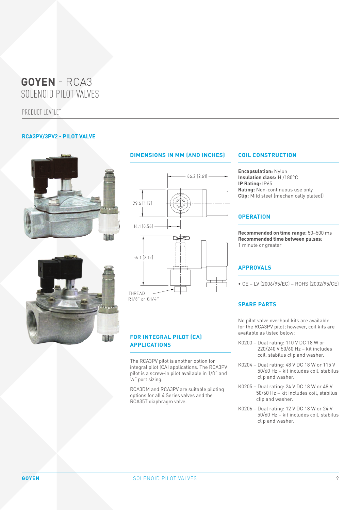PRODUCT LEAFLET

#### **RCA3PV/3PV2 - PILOT VALVE**





#### **DIMENSIONS IN MM (AND INCHES)**



 $R1/8"$  or  $G1/4"$ 

#### **FOR INTEGRAL PILOT (CA) APPLICATIONS**

The RCA3PV pilot is another option for integral pilot (CA) applications. The RCA3PV pilot is a screw-in pilot available in 1/8˝ and ¼˝ port sizing.

RCA3DM and RCA3PV are suitable piloting options for all 4 Series valves and the RCA35T diaphragm valve.

#### **COIL CONSTRUCTION**

**Encapsulation:** Nylon **Insulation class:** H /180°C **IP Rating:** IP65 **Rating:** Non-continuous use only **Clip:** Mild steel (mechanically plated))

#### **OPERATION**

**Recommended on time range:** 50–500 ms **Recommended time between pulses:** 1 minute or greater

#### **APPROVALS**

• CE – LV (2006/95/EC) – ROHS (2002/95/CE)

#### **SPARE PARTS**

No pilot valve overhaul kits are available for the RCA3PV pilot; however, coil kits are available as listed below:

- K0203 Dual rating: 110 V DC 18 W or 220/240 V 50/60 Hz – kit includes coil, stabilus clip and washer.
- K0204 Dual rating: 48 V DC 18 W or 115 V 50/60 Hz – kit includes coil, stabilus clip and washer.
- K0205 Dual rating: 24 V DC 18 W or 48 V 50/60 Hz – kit includes coil, stabilus clip and washer.
- K0206 Dual rating: 12 V DC 18 W or 24 V 50/60 Hz – kit includes coil, stabilus clip and washer.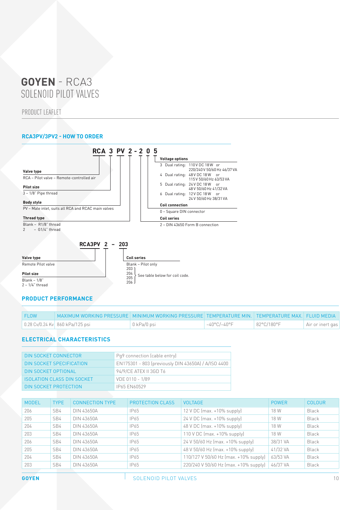PRODUCT LEAFLET

#### **RCA3PV/3PV2 - HOW TO ORDER**



#### **PRODUCT PERFORMANCE**

| FLOW | MAXIMUM WORKING PRESSURE   MINIMUM WORKING PRESSURE   TEMPERATURE MIN.   TEMPERATURE MAX.   FLUID MEDIA |             |                       |            |                  |
|------|---------------------------------------------------------------------------------------------------------|-------------|-----------------------|------------|------------------|
|      | 0.28 Cv/0.24 Kv 860 kPa/125 psi                                                                         | 0 kPa/0 psi | $-40^{\circ}$ C/-40°F | 82°C/180°F | Air or inert gas |

#### **ELECTRICAL CHARACTERISTICS**

| DIN SOCKET CONNECTOR              | Pq9 connection (cable entry)                        |
|-----------------------------------|-----------------------------------------------------|
| DIN SOCKET SPECIFICATION          | EN175301 - 803 (previously DIN 43650A) / A/ISO 4400 |
| DIN SOCKET OPTIONAL               | 94/9/CE ATEX II 3GD T6                              |
| <b>ISOLATION CLASS DIN SOCKET</b> | VDE 0110 - 1/89                                     |
| DIN SOCKET PROTECTION             | <b>IP65 EN60529</b>                                 |

| <b>MODEL</b> | <b>TYPE</b> | <b>CONNECTION TYPE</b> | <b>PROTECTION CLASS</b> | <b>VOLTAGE</b>                        | <b>POWER</b> | <b>COLOUR</b> |
|--------------|-------------|------------------------|-------------------------|---------------------------------------|--------------|---------------|
| 206          | SB4         | DIN 43650A             | IP65                    | $12$ V DC (max. +10% supply)          | 18 W         | <b>Black</b>  |
| 205          | SB4         | DIN 43650A             | IP65                    | $24$ V DC (max. +10% supply)          | 18 W         | <b>Black</b>  |
| 204          | SB4         | DIN 43650A             | IP65                    | 48 V DC (max. +10% supply)            | 18 W         | Black         |
| 203          | SB4         | DIN 43650A             | IP65                    | $110 \text{ V DC}$ (max. +10% supply) | 18 W         | Black         |
| 206          | SB4         | DIN 43650A             | IP65                    | 24 V 50/60 Hz (max. +10% supply)      | 38/31 VA     | Black         |
| 205          | SB4         | DIN 43650A             | IP65                    | 48 V 50/60 Hz (max. +10% supply)      | 41/32 VA     | <b>Black</b>  |
| 204          | SB4         | DIN 43650A             | IP65                    | 110/127 V 50/60 Hz (max. +10% supply) | 63/53 VA     | Black         |
| 203          | SB4         | DIN 43650A             | IP65                    | 220/240 V 50/60 Hz (max. +10% supply) | 46/37 VA     | Black         |